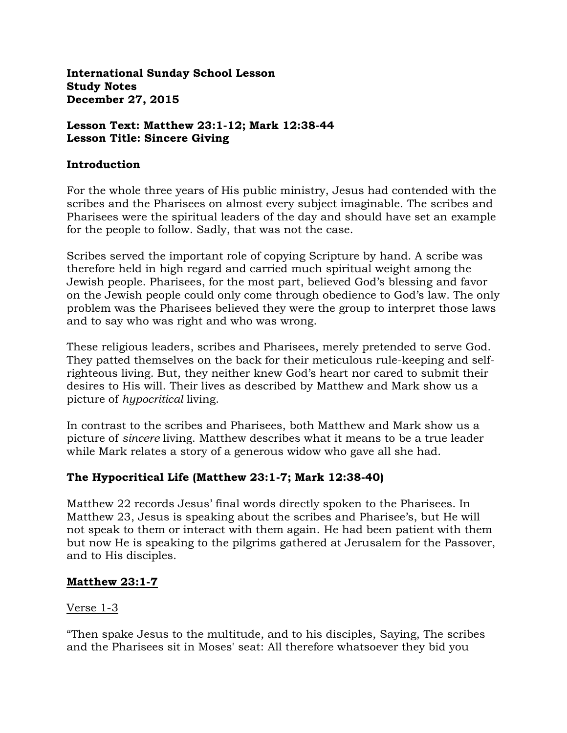**International Sunday School Lesson Study Notes December 27, 2015**

### **Lesson Text: Matthew 23:1-12; Mark 12:38-44 Lesson Title: Sincere Giving**

### **Introduction**

For the whole three years of His public ministry, Jesus had contended with the scribes and the Pharisees on almost every subject imaginable. The scribes and Pharisees were the spiritual leaders of the day and should have set an example for the people to follow. Sadly, that was not the case.

Scribes served the important role of copying Scripture by hand. A scribe was therefore held in high regard and carried much spiritual weight among the Jewish people. Pharisees, for the most part, believed God's blessing and favor on the Jewish people could only come through obedience to God's law. The only problem was the Pharisees believed they were the group to interpret those laws and to say who was right and who was wrong.

These religious leaders, scribes and Pharisees, merely pretended to serve God. They patted themselves on the back for their meticulous rule-keeping and selfrighteous living. But, they neither knew God's heart nor cared to submit their desires to His will. Their lives as described by Matthew and Mark show us a picture of *hypocritical* living.

In contrast to the scribes and Pharisees, both Matthew and Mark show us a picture of *sincere* living. Matthew describes what it means to be a true leader while Mark relates a story of a generous widow who gave all she had.

# **The Hypocritical Life (Matthew 23:1-7; Mark 12:38-40)**

Matthew 22 records Jesus' final words directly spoken to the Pharisees. In Matthew 23, Jesus is speaking about the scribes and Pharisee's, but He will not speak to them or interact with them again. He had been patient with them but now He is speaking to the pilgrims gathered at Jerusalem for the Passover, and to His disciples.

# **Matthew 23:1-7**

# Verse 1-3

"Then spake Jesus to the multitude, and to his disciples, Saying, The scribes and the Pharisees sit in Moses' seat: All therefore whatsoever they bid you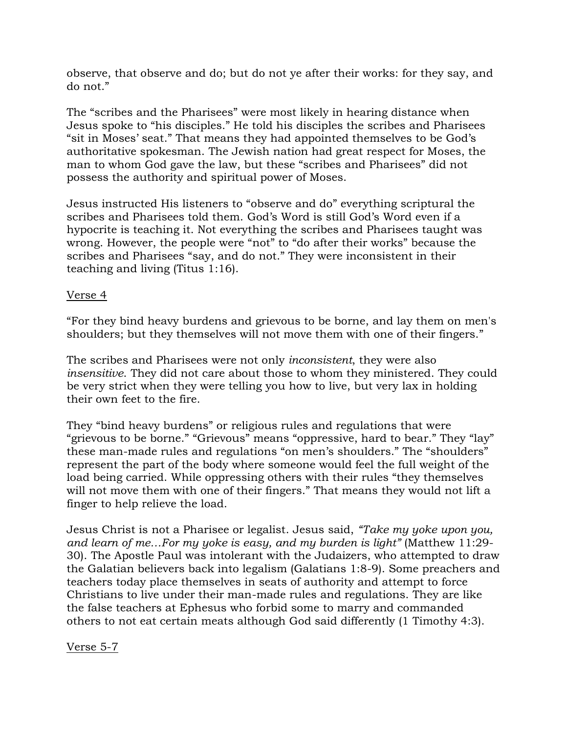observe, that observe and do; but do not ye after their works: for they say, and do not."

The "scribes and the Pharisees" were most likely in hearing distance when Jesus spoke to "his disciples." He told his disciples the scribes and Pharisees "sit in Moses' seat." That means they had appointed themselves to be God's authoritative spokesman. The Jewish nation had great respect for Moses, the man to whom God gave the law, but these "scribes and Pharisees" did not possess the authority and spiritual power of Moses.

Jesus instructed His listeners to "observe and do" everything scriptural the scribes and Pharisees told them. God's Word is still God's Word even if a hypocrite is teaching it. Not everything the scribes and Pharisees taught was wrong. However, the people were "not" to "do after their works" because the scribes and Pharisees "say, and do not." They were inconsistent in their teaching and living (Titus 1:16).

### Verse 4

"For they bind heavy burdens and grievous to be borne, and lay them on men's shoulders; but they themselves will not move them with one of their fingers."

The scribes and Pharisees were not only *inconsistent*, they were also *insensitive*. They did not care about those to whom they ministered. They could be very strict when they were telling you how to live, but very lax in holding their own feet to the fire.

They "bind heavy burdens" or religious rules and regulations that were "grievous to be borne." "Grievous" means "oppressive, hard to bear." They "lay" these man-made rules and regulations "on men's shoulders." The "shoulders" represent the part of the body where someone would feel the full weight of the load being carried. While oppressing others with their rules "they themselves will not move them with one of their fingers." That means they would not lift a finger to help relieve the load.

Jesus Christ is not a Pharisee or legalist. Jesus said, *"Take my yoke upon you, and learn of me…For my yoke is easy, and my burden is light"* (Matthew 11:29- 30). The Apostle Paul was intolerant with the Judaizers, who attempted to draw the Galatian believers back into legalism (Galatians 1:8-9). Some preachers and teachers today place themselves in seats of authority and attempt to force Christians to live under their man-made rules and regulations. They are like the false teachers at Ephesus who forbid some to marry and commanded others to not eat certain meats although God said differently (1 Timothy 4:3).

Verse 5-7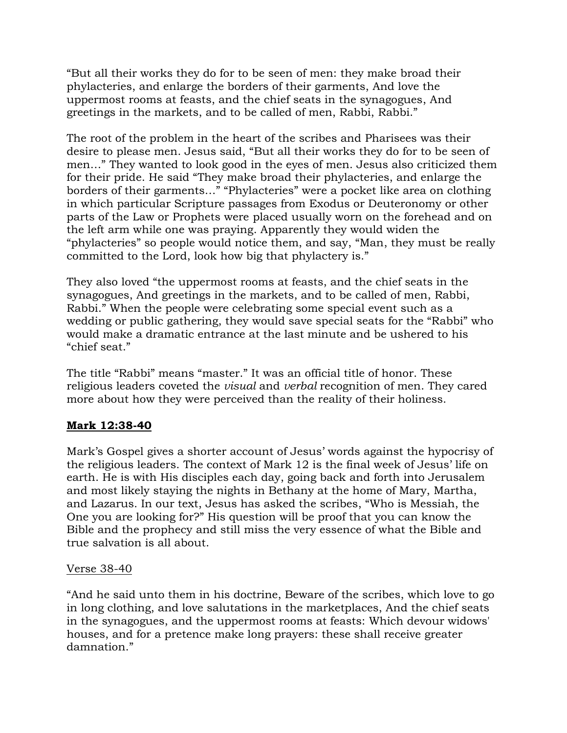"But all their works they do for to be seen of men: they make broad their phylacteries, and enlarge the borders of their garments, And love the uppermost rooms at feasts, and the chief seats in the synagogues, And greetings in the markets, and to be called of men, Rabbi, Rabbi."

The root of the problem in the heart of the scribes and Pharisees was their desire to please men. Jesus said, "But all their works they do for to be seen of men…" They wanted to look good in the eyes of men. Jesus also criticized them for their pride. He said "They make broad their phylacteries, and enlarge the borders of their garments…" "Phylacteries" were a pocket like area on clothing in which particular Scripture passages from Exodus or Deuteronomy or other parts of the Law or Prophets were placed usually worn on the forehead and on the left arm while one was praying. Apparently they would widen the "phylacteries" so people would notice them, and say, "Man, they must be really committed to the Lord, look how big that phylactery is."

They also loved "the uppermost rooms at feasts, and the chief seats in the synagogues, And greetings in the markets, and to be called of men, Rabbi, Rabbi." When the people were celebrating some special event such as a wedding or public gathering, they would save special seats for the "Rabbi" who would make a dramatic entrance at the last minute and be ushered to his "chief seat."

The title "Rabbi" means "master." It was an official title of honor. These religious leaders coveted the *visual* and *verbal* recognition of men. They cared more about how they were perceived than the reality of their holiness.

# **Mark 12:38-40**

Mark's Gospel gives a shorter account of Jesus' words against the hypocrisy of the religious leaders. The context of Mark 12 is the final week of Jesus' life on earth. He is with His disciples each day, going back and forth into Jerusalem and most likely staying the nights in Bethany at the home of Mary, Martha, and Lazarus. In our text, Jesus has asked the scribes, "Who is Messiah, the One you are looking for?" His question will be proof that you can know the Bible and the prophecy and still miss the very essence of what the Bible and true salvation is all about.

# Verse 38-40

"And he said unto them in his doctrine, Beware of the scribes, which love to go in long clothing, and love salutations in the marketplaces, And the chief seats in the synagogues, and the uppermost rooms at feasts: Which devour widows' houses, and for a pretence make long prayers: these shall receive greater damnation."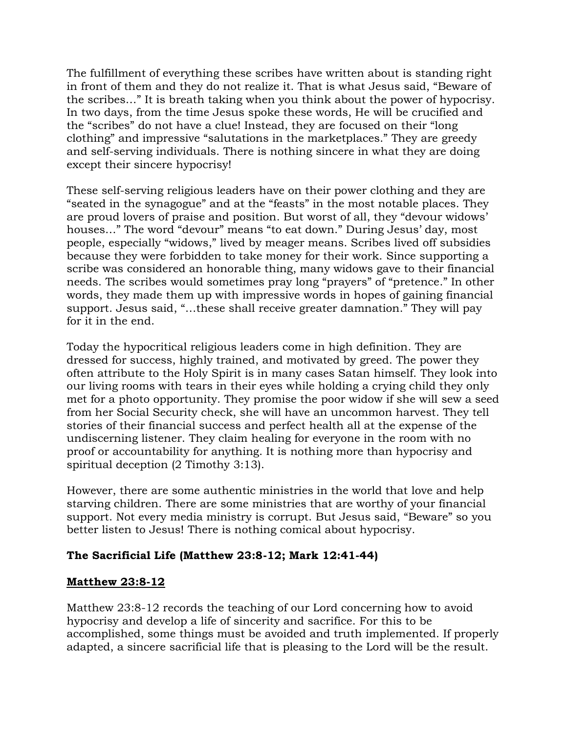The fulfillment of everything these scribes have written about is standing right in front of them and they do not realize it. That is what Jesus said, "Beware of the scribes…" It is breath taking when you think about the power of hypocrisy. In two days, from the time Jesus spoke these words, He will be crucified and the "scribes" do not have a clue! Instead, they are focused on their "long clothing" and impressive "salutations in the marketplaces." They are greedy and self-serving individuals. There is nothing sincere in what they are doing except their sincere hypocrisy!

These self-serving religious leaders have on their power clothing and they are "seated in the synagogue" and at the "feasts" in the most notable places. They are proud lovers of praise and position. But worst of all, they "devour widows' houses…" The word "devour" means "to eat down." During Jesus' day, most people, especially "widows," lived by meager means. Scribes lived off subsidies because they were forbidden to take money for their work. Since supporting a scribe was considered an honorable thing, many widows gave to their financial needs. The scribes would sometimes pray long "prayers" of "pretence." In other words, they made them up with impressive words in hopes of gaining financial support. Jesus said, "…these shall receive greater damnation." They will pay for it in the end.

Today the hypocritical religious leaders come in high definition. They are dressed for success, highly trained, and motivated by greed. The power they often attribute to the Holy Spirit is in many cases Satan himself. They look into our living rooms with tears in their eyes while holding a crying child they only met for a photo opportunity. They promise the poor widow if she will sew a seed from her Social Security check, she will have an uncommon harvest. They tell stories of their financial success and perfect health all at the expense of the undiscerning listener. They claim healing for everyone in the room with no proof or accountability for anything. It is nothing more than hypocrisy and spiritual deception (2 Timothy 3:13).

However, there are some authentic ministries in the world that love and help starving children. There are some ministries that are worthy of your financial support. Not every media ministry is corrupt. But Jesus said, "Beware" so you better listen to Jesus! There is nothing comical about hypocrisy.

# **The Sacrificial Life (Matthew 23:8-12; Mark 12:41-44)**

# **Matthew 23:8-12**

Matthew 23:8-12 records the teaching of our Lord concerning how to avoid hypocrisy and develop a life of sincerity and sacrifice. For this to be accomplished, some things must be avoided and truth implemented. If properly adapted, a sincere sacrificial life that is pleasing to the Lord will be the result.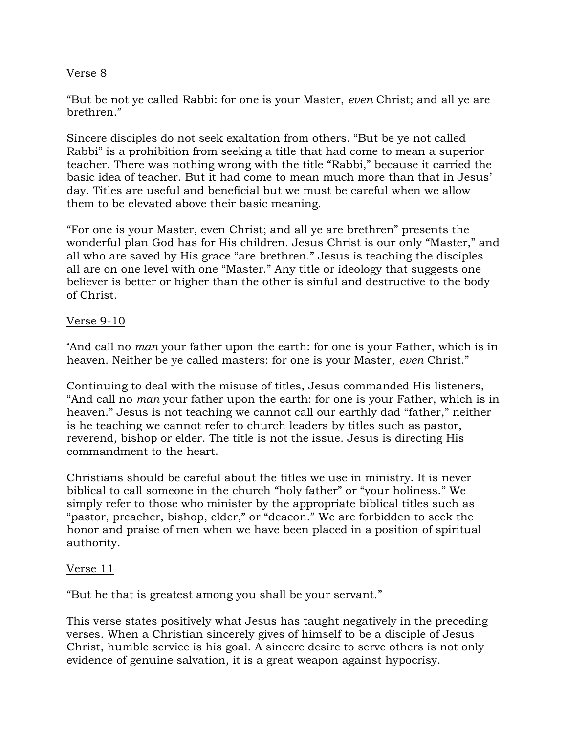### Verse 8

"But be not ye called Rabbi: for one is your Master, *even* Christ; and all ye are brethren."

Sincere disciples do not seek exaltation from others. "But be ye not called Rabbi" is a prohibition from seeking a title that had come to mean a superior teacher. There was nothing wrong with the title "Rabbi," because it carried the basic idea of teacher. But it had come to mean much more than that in Jesus' day. Titles are useful and beneficial but we must be careful when we allow them to be elevated above their basic meaning.

"For one is your Master, even Christ; and all ye are brethren" presents the wonderful plan God has for His children. Jesus Christ is our only "Master," and all who are saved by His grace "are brethren." Jesus is teaching the disciples all are on one level with one "Master." Any title or ideology that suggests one believer is better or higher than the other is sinful and destructive to the body of Christ.

### Verse 9-10

"And call no *man* your father upon the earth: for one is your Father, which is in heaven. Neither be ye called masters: for one is your Master, *even* Christ."

Continuing to deal with the misuse of titles, Jesus commanded His listeners, "And call no *man* your father upon the earth: for one is your Father, which is in heaven." Jesus is not teaching we cannot call our earthly dad "father," neither is he teaching we cannot refer to church leaders by titles such as pastor, reverend, bishop or elder. The title is not the issue. Jesus is directing His commandment to the heart.

Christians should be careful about the titles we use in ministry. It is never biblical to call someone in the church "holy father" or "your holiness." We simply refer to those who minister by the appropriate biblical titles such as "pastor, preacher, bishop, elder," or "deacon." We are forbidden to seek the honor and praise of men when we have been placed in a position of spiritual authority.

### Verse 11

"But he that is greatest among you shall be your servant."

This verse states positively what Jesus has taught negatively in the preceding verses. When a Christian sincerely gives of himself to be a disciple of Jesus Christ, humble service is his goal. A sincere desire to serve others is not only evidence of genuine salvation, it is a great weapon against hypocrisy.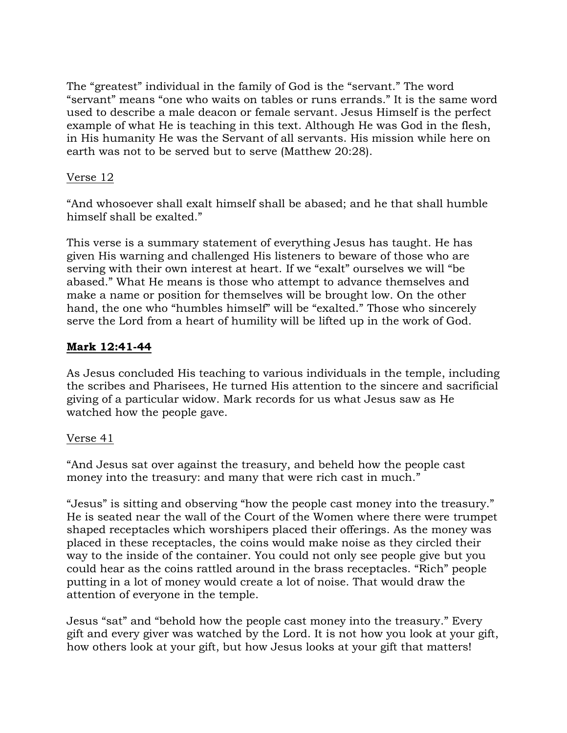The "greatest" individual in the family of God is the "servant." The word "servant" means "one who waits on tables or runs errands." It is the same word used to describe a male deacon or female servant. Jesus Himself is the perfect example of what He is teaching in this text. Although He was God in the flesh, in His humanity He was the Servant of all servants. His mission while here on earth was not to be served but to serve (Matthew 20:28).

### Verse 12

"And whosoever shall exalt himself shall be abased; and he that shall humble himself shall be exalted."

This verse is a summary statement of everything Jesus has taught. He has given His warning and challenged His listeners to beware of those who are serving with their own interest at heart. If we "exalt" ourselves we will "be abased." What He means is those who attempt to advance themselves and make a name or position for themselves will be brought low. On the other hand, the one who "humbles himself" will be "exalted." Those who sincerely serve the Lord from a heart of humility will be lifted up in the work of God.

# **Mark 12:41-44**

As Jesus concluded His teaching to various individuals in the temple, including the scribes and Pharisees, He turned His attention to the sincere and sacrificial giving of a particular widow. Mark records for us what Jesus saw as He watched how the people gave.

### Verse 41

"And Jesus sat over against the treasury, and beheld how the people cast money into the treasury: and many that were rich cast in much."

"Jesus" is sitting and observing "how the people cast money into the treasury." He is seated near the wall of the Court of the Women where there were trumpet shaped receptacles which worshipers placed their offerings. As the money was placed in these receptacles, the coins would make noise as they circled their way to the inside of the container. You could not only see people give but you could hear as the coins rattled around in the brass receptacles. "Rich" people putting in a lot of money would create a lot of noise. That would draw the attention of everyone in the temple.

Jesus "sat" and "behold how the people cast money into the treasury." Every gift and every giver was watched by the Lord. It is not how you look at your gift, how others look at your gift, but how Jesus looks at your gift that matters!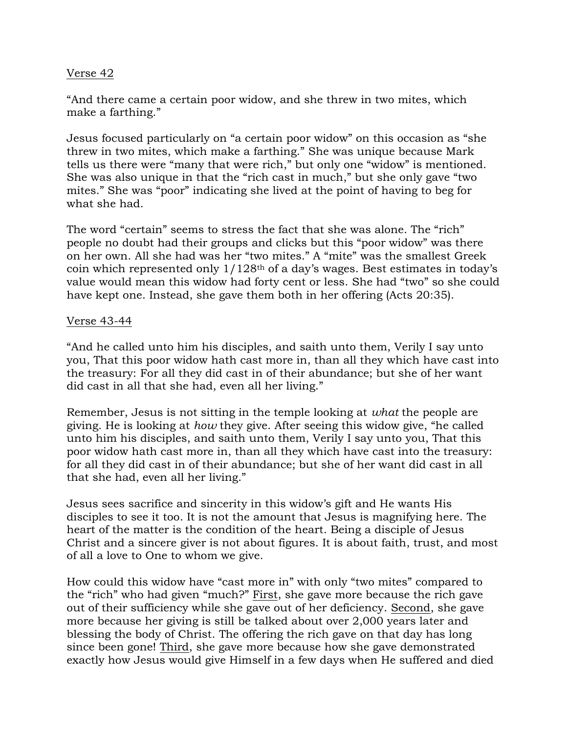### Verse 42

"And there came a certain poor widow, and she threw in two mites, which make a farthing."

Jesus focused particularly on "a certain poor widow" on this occasion as "she threw in two mites, which make a farthing." She was unique because Mark tells us there were "many that were rich," but only one "widow" is mentioned. She was also unique in that the "rich cast in much," but she only gave "two mites." She was "poor" indicating she lived at the point of having to beg for what she had.

The word "certain" seems to stress the fact that she was alone. The "rich" people no doubt had their groups and clicks but this "poor widow" was there on her own. All she had was her "two mites." A "mite" was the smallest Greek coin which represented only  $1/128<sup>th</sup>$  of a day's wages. Best estimates in today's value would mean this widow had forty cent or less. She had "two" so she could have kept one. Instead, she gave them both in her offering (Acts 20:35).

### Verse 43-44

"And he called unto him his disciples, and saith unto them, Verily I say unto you, That this poor widow hath cast more in, than all they which have cast into the treasury: For all they did cast in of their abundance; but she of her want did cast in all that she had, even all her living."

Remember, Jesus is not sitting in the temple looking at *what* the people are giving. He is looking at *how* they give. After seeing this widow give, "he called unto him his disciples, and saith unto them, Verily I say unto you, That this poor widow hath cast more in, than all they which have cast into the treasury: for all they did cast in of their abundance; but she of her want did cast in all that she had, even all her living."

Jesus sees sacrifice and sincerity in this widow's gift and He wants His disciples to see it too. It is not the amount that Jesus is magnifying here. The heart of the matter is the condition of the heart. Being a disciple of Jesus Christ and a sincere giver is not about figures. It is about faith, trust, and most of all a love to One to whom we give.

How could this widow have "cast more in" with only "two mites" compared to the "rich" who had given "much?" First, she gave more because the rich gave out of their sufficiency while she gave out of her deficiency. Second, she gave more because her giving is still be talked about over 2,000 years later and blessing the body of Christ. The offering the rich gave on that day has long since been gone! Third, she gave more because how she gave demonstrated exactly how Jesus would give Himself in a few days when He suffered and died